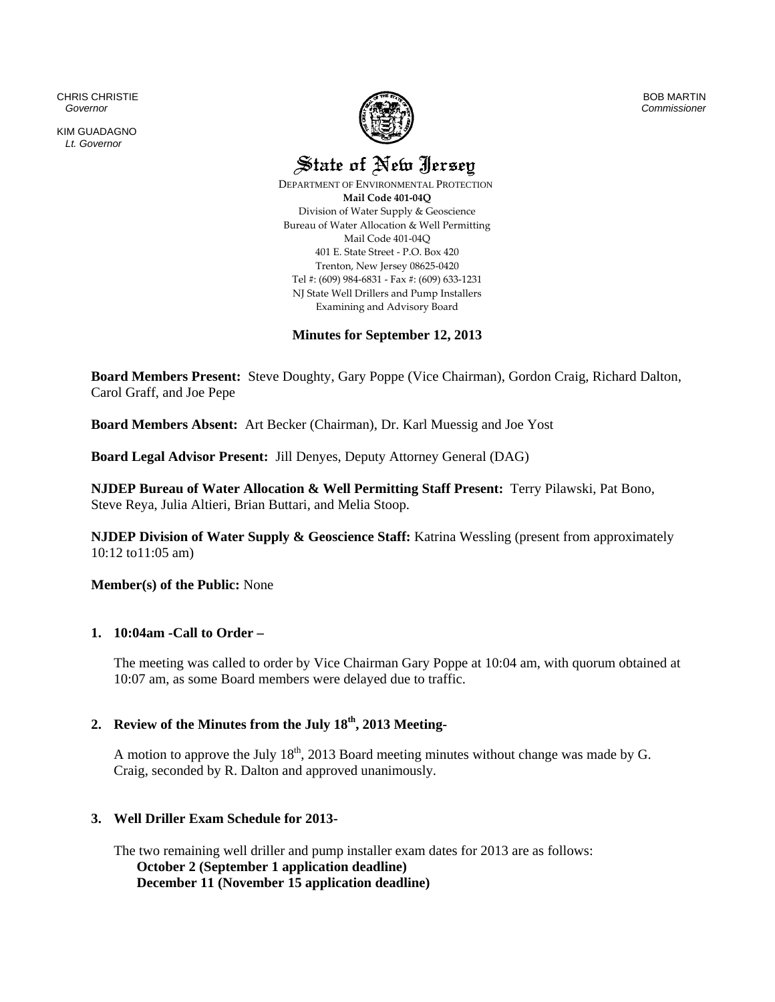CHRIS CHRISTIE  *Governor* 

KIM GUADAGNO *Lt. Governor* 



BOB MARTIN *Commissioner*

State of New Jersey

 DEPARTMENT OF ENVIRONMENTAL PROTECTION **Mail Code 401‐04Q** Division of Water Supply & Geoscience Bureau of Water Allocation & Well Permitting Mail Code 401‐04Q 401 E. State Street ‐ P.O. Box 420 Trenton, New Jersey 08625‐0420 Tel #: (609) 984‐6831 ‐ Fax #: (609) 633‐1231 NJ State Well Drillers and Pump Installers Examining and Advisory Board

# **Minutes for September 12, 2013**

**Board Members Present:** Steve Doughty, Gary Poppe (Vice Chairman), Gordon Craig, Richard Dalton, Carol Graff, and Joe Pepe

**Board Members Absent:** Art Becker (Chairman), Dr. Karl Muessig and Joe Yost

**Board Legal Advisor Present:** Jill Denyes, Deputy Attorney General (DAG)

**NJDEP Bureau of Water Allocation & Well Permitting Staff Present:** Terry Pilawski, Pat Bono, Steve Reya, Julia Altieri, Brian Buttari, and Melia Stoop.

**NJDEP Division of Water Supply & Geoscience Staff:** Katrina Wessling (present from approximately 10:12 to11:05 am)

**Member(s) of the Public:** None

# **1. 10:04am -Call to Order –**

The meeting was called to order by Vice Chairman Gary Poppe at 10:04 am, with quorum obtained at 10:07 am, as some Board members were delayed due to traffic.

# **2. Review of the Minutes from the July 18th, 2013 Meeting-**

A motion to approve the July  $18<sup>th</sup>$ , 2013 Board meeting minutes without change was made by G. Craig, seconded by R. Dalton and approved unanimously.

# **3. Well Driller Exam Schedule for 2013-**

The two remaining well driller and pump installer exam dates for 2013 are as follows: **October 2 (September 1 application deadline) December 11 (November 15 application deadline)**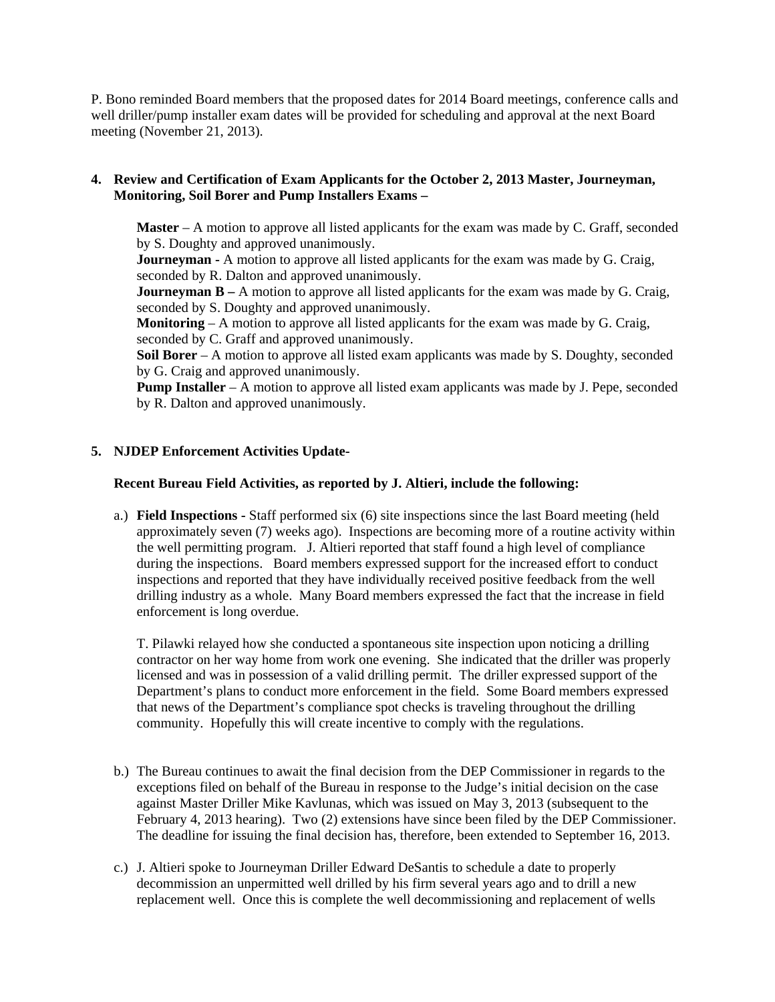P. Bono reminded Board members that the proposed dates for 2014 Board meetings, conference calls and well driller/pump installer exam dates will be provided for scheduling and approval at the next Board meeting (November 21, 2013).

# **4. Review and Certification of Exam Applicants for the October 2, 2013 Master, Journeyman, Monitoring, Soil Borer and Pump Installers Exams –**

**Master** – A motion to approve all listed applicants for the exam was made by C. Graff, seconded by S. Doughty and approved unanimously.

**Journeyman -** A motion to approve all listed applicants for the exam was made by G. Craig, seconded by R. Dalton and approved unanimously.

**Journeyman B** – A motion to approve all listed applicants for the exam was made by G. Craig, seconded by S. Doughty and approved unanimously.

**Monitoring** – A motion to approve all listed applicants for the exam was made by G. Craig, seconded by C. Graff and approved unanimously.

**Soil Borer** – A motion to approve all listed exam applicants was made by S. Doughty, seconded by G. Craig and approved unanimously.

**Pump Installer** – A motion to approve all listed exam applicants was made by J. Pepe, seconded by R. Dalton and approved unanimously.

# **5. NJDEP Enforcement Activities Update-**

## **Recent Bureau Field Activities, as reported by J. Altieri, include the following:**

a.) **Field Inspections -** Staff performed six (6) site inspections since the last Board meeting (held approximately seven (7) weeks ago). Inspections are becoming more of a routine activity within the well permitting program. J. Altieri reported that staff found a high level of compliance during the inspections. Board members expressed support for the increased effort to conduct inspections and reported that they have individually received positive feedback from the well drilling industry as a whole. Many Board members expressed the fact that the increase in field enforcement is long overdue.

T. Pilawki relayed how she conducted a spontaneous site inspection upon noticing a drilling contractor on her way home from work one evening. She indicated that the driller was properly licensed and was in possession of a valid drilling permit. The driller expressed support of the Department's plans to conduct more enforcement in the field. Some Board members expressed that news of the Department's compliance spot checks is traveling throughout the drilling community. Hopefully this will create incentive to comply with the regulations.

- b.) The Bureau continues to await the final decision from the DEP Commissioner in regards to the exceptions filed on behalf of the Bureau in response to the Judge's initial decision on the case against Master Driller Mike Kavlunas, which was issued on May 3, 2013 (subsequent to the February 4, 2013 hearing). Two (2) extensions have since been filed by the DEP Commissioner. The deadline for issuing the final decision has, therefore, been extended to September 16, 2013.
- c.) J. Altieri spoke to Journeyman Driller Edward DeSantis to schedule a date to properly decommission an unpermitted well drilled by his firm several years ago and to drill a new replacement well. Once this is complete the well decommissioning and replacement of wells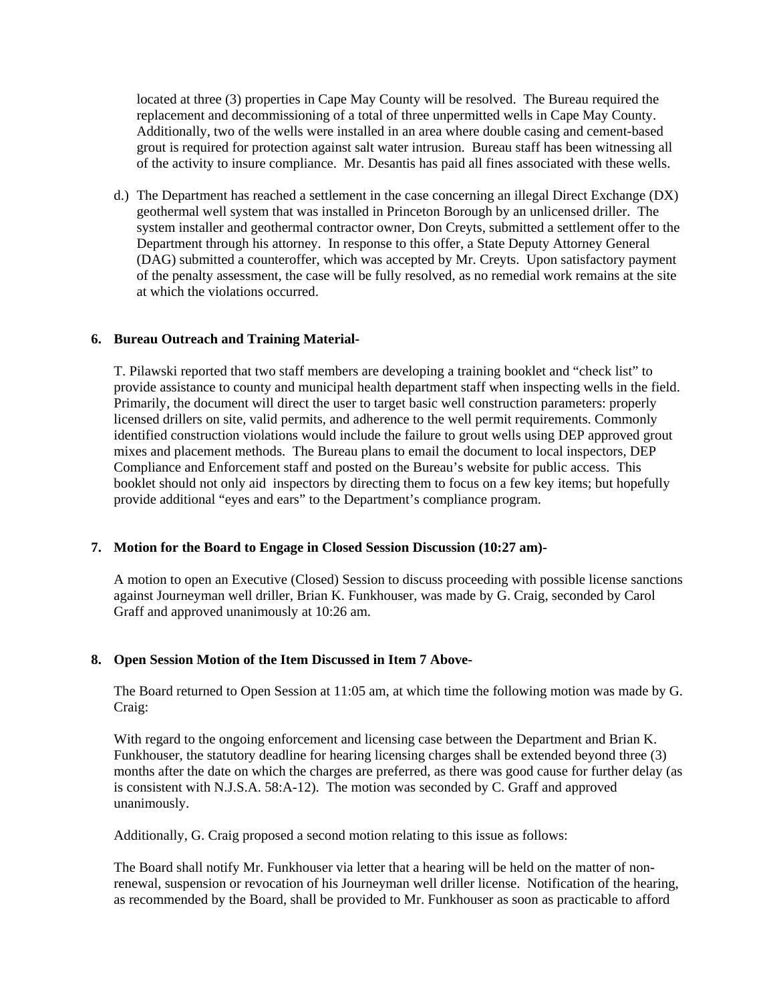located at three (3) properties in Cape May County will be resolved. The Bureau required the replacement and decommissioning of a total of three unpermitted wells in Cape May County. Additionally, two of the wells were installed in an area where double casing and cement-based grout is required for protection against salt water intrusion. Bureau staff has been witnessing all of the activity to insure compliance. Mr. Desantis has paid all fines associated with these wells.

d.) The Department has reached a settlement in the case concerning an illegal Direct Exchange (DX) geothermal well system that was installed in Princeton Borough by an unlicensed driller. The system installer and geothermal contractor owner, Don Creyts, submitted a settlement offer to the Department through his attorney. In response to this offer, a State Deputy Attorney General (DAG) submitted a counteroffer, which was accepted by Mr. Creyts. Upon satisfactory payment of the penalty assessment, the case will be fully resolved, as no remedial work remains at the site at which the violations occurred.

### **6. Bureau Outreach and Training Material-**

T. Pilawski reported that two staff members are developing a training booklet and "check list" to provide assistance to county and municipal health department staff when inspecting wells in the field. Primarily, the document will direct the user to target basic well construction parameters: properly licensed drillers on site, valid permits, and adherence to the well permit requirements. Commonly identified construction violations would include the failure to grout wells using DEP approved grout mixes and placement methods. The Bureau plans to email the document to local inspectors, DEP Compliance and Enforcement staff and posted on the Bureau's website for public access. This booklet should not only aid inspectors by directing them to focus on a few key items; but hopefully provide additional "eyes and ears" to the Department's compliance program.

#### **7. Motion for the Board to Engage in Closed Session Discussion (10:27 am)-**

A motion to open an Executive (Closed) Session to discuss proceeding with possible license sanctions against Journeyman well driller, Brian K. Funkhouser, was made by G. Craig, seconded by Carol Graff and approved unanimously at 10:26 am.

#### **8. Open Session Motion of the Item Discussed in Item 7 Above-**

The Board returned to Open Session at 11:05 am, at which time the following motion was made by G. Craig:

With regard to the ongoing enforcement and licensing case between the Department and Brian K. Funkhouser, the statutory deadline for hearing licensing charges shall be extended beyond three (3) months after the date on which the charges are preferred, as there was good cause for further delay (as is consistent with N.J.S.A. 58:A-12). The motion was seconded by C. Graff and approved unanimously.

Additionally, G. Craig proposed a second motion relating to this issue as follows:

The Board shall notify Mr. Funkhouser via letter that a hearing will be held on the matter of nonrenewal, suspension or revocation of his Journeyman well driller license. Notification of the hearing, as recommended by the Board, shall be provided to Mr. Funkhouser as soon as practicable to afford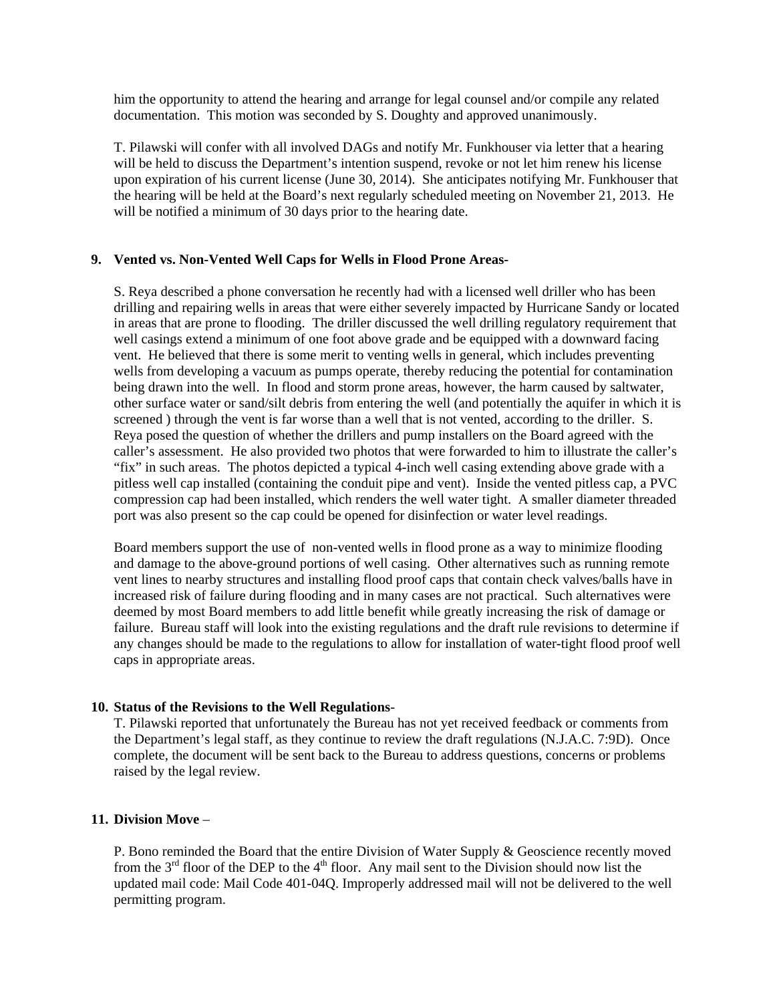him the opportunity to attend the hearing and arrange for legal counsel and/or compile any related documentation. This motion was seconded by S. Doughty and approved unanimously.

T. Pilawski will confer with all involved DAGs and notify Mr. Funkhouser via letter that a hearing will be held to discuss the Department's intention suspend, revoke or not let him renew his license upon expiration of his current license (June 30, 2014). She anticipates notifying Mr. Funkhouser that the hearing will be held at the Board's next regularly scheduled meeting on November 21, 2013. He will be notified a minimum of 30 days prior to the hearing date.

### **9. Vented vs. Non-Vented Well Caps for Wells in Flood Prone Areas-**

S. Reya described a phone conversation he recently had with a licensed well driller who has been drilling and repairing wells in areas that were either severely impacted by Hurricane Sandy or located in areas that are prone to flooding. The driller discussed the well drilling regulatory requirement that well casings extend a minimum of one foot above grade and be equipped with a downward facing vent. He believed that there is some merit to venting wells in general, which includes preventing wells from developing a vacuum as pumps operate, thereby reducing the potential for contamination being drawn into the well. In flood and storm prone areas, however, the harm caused by saltwater, other surface water or sand/silt debris from entering the well (and potentially the aquifer in which it is screened ) through the vent is far worse than a well that is not vented, according to the driller. S. Reya posed the question of whether the drillers and pump installers on the Board agreed with the caller's assessment. He also provided two photos that were forwarded to him to illustrate the caller's "fix" in such areas. The photos depicted a typical 4-inch well casing extending above grade with a pitless well cap installed (containing the conduit pipe and vent). Inside the vented pitless cap, a PVC compression cap had been installed, which renders the well water tight. A smaller diameter threaded port was also present so the cap could be opened for disinfection or water level readings.

Board members support the use of non-vented wells in flood prone as a way to minimize flooding and damage to the above-ground portions of well casing. Other alternatives such as running remote vent lines to nearby structures and installing flood proof caps that contain check valves/balls have in increased risk of failure during flooding and in many cases are not practical. Such alternatives were deemed by most Board members to add little benefit while greatly increasing the risk of damage or failure. Bureau staff will look into the existing regulations and the draft rule revisions to determine if any changes should be made to the regulations to allow for installation of water-tight flood proof well caps in appropriate areas.

### **10. Status of the Revisions to the Well Regulations**-

T. Pilawski reported that unfortunately the Bureau has not yet received feedback or comments from the Department's legal staff, as they continue to review the draft regulations (N.J.A.C. 7:9D). Once complete, the document will be sent back to the Bureau to address questions, concerns or problems raised by the legal review.

# **11. Division Move** –

P. Bono reminded the Board that the entire Division of Water Supply & Geoscience recently moved from the  $3<sup>rd</sup>$  floor of the DEP to the  $4<sup>th</sup>$  floor. Any mail sent to the Division should now list the updated mail code: Mail Code 401-04Q. Improperly addressed mail will not be delivered to the well permitting program.